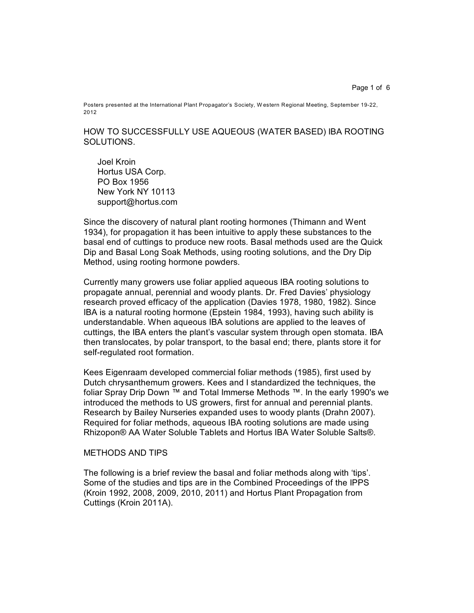Page 1 of 6

Posters presented at the International Plant Propagator's Society, W estern Regional Meeting, September 19-22, 2012

HOW TO SUCCESSFULLY USE AQUEOUS (WATER BASED) IBA ROOTING SOLUTIONS.

Joel Kroin Hortus USA Corp. PO Box 1956 New York NY 10113 support@hortus.com

Since the discovery of natural plant rooting hormones (Thimann and Went 1934), for propagation it has been intuitive to apply these substances to the basal end of cuttings to produce new roots. Basal methods used are the Quick Dip and Basal Long Soak Methods, using rooting solutions, and the Dry Dip Method, using rooting hormone powders.

Currently many growers use foliar applied aqueous IBA rooting solutions to propagate annual, perennial and woody plants. Dr. Fred Davies' physiology research proved efficacy of the application (Davies 1978, 1980, 1982). Since IBA is a natural rooting hormone (Epstein 1984, 1993), having such ability is understandable. When aqueous IBA solutions are applied to the leaves of cuttings, the IBA enters the plant's vascular system through open stomata. IBA then translocates, by polar transport, to the basal end; there, plants store it for self-regulated root formation.

Kees Eigenraam developed commercial foliar methods (1985), first used by Dutch chrysanthemum growers. Kees and I standardized the techniques, the foliar Spray Drip Down ™ and Total Immerse Methods ™. In the early 1990's we introduced the methods to US growers, first for annual and perennial plants. Research by Bailey Nurseries expanded uses to woody plants (Drahn 2007). Required for foliar methods, aqueous IBA rooting solutions are made using Rhizopon® AA Water Soluble Tablets and Hortus IBA Water Soluble Salts®.

#### METHODS AND TIPS

The following is a brief review the basal and foliar methods along with 'tips'. Some of the studies and tips are in the Combined Proceedings of the IPPS (Kroin 1992, 2008, 2009, 2010, 2011) and Hortus Plant Propagation from Cuttings (Kroin 2011A).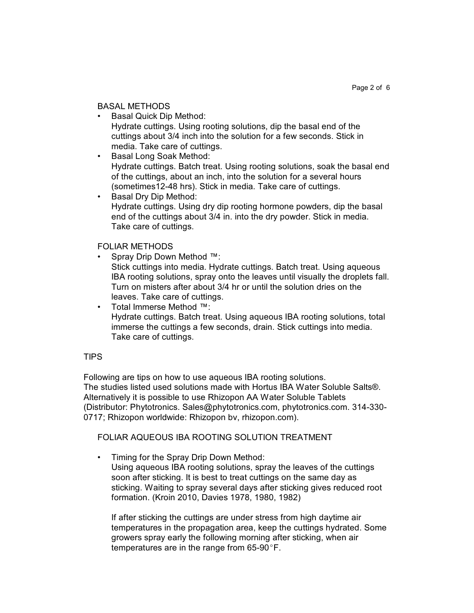### BASAL METHODS

- Basal Quick Dip Method: Hydrate cuttings. Using rooting solutions, dip the basal end of the cuttings about 3/4 inch into the solution for a few seconds. Stick in media. Take care of cuttings.
- Basal Long Soak Method: Hydrate cuttings. Batch treat. Using rooting solutions, soak the basal end of the cuttings, about an inch, into the solution for a several hours (sometimes12-48 hrs). Stick in media. Take care of cuttings.
- Basal Dry Dip Method: Hydrate cuttings. Using dry dip rooting hormone powders, dip the basal end of the cuttings about 3/4 in. into the dry powder. Stick in media. Take care of cuttings.

# FOLIAR METHODS

- Spray Drip Down Method ™: Stick cuttings into media. Hydrate cuttings. Batch treat. Using aqueous IBA rooting solutions, spray onto the leaves until visually the droplets fall. Turn on misters after about 3/4 hr or until the solution dries on the leaves. Take care of cuttings.
- Total Immerse Method ™: Hydrate cuttings. Batch treat. Using aqueous IBA rooting solutions, total immerse the cuttings a few seconds, drain. Stick cuttings into media. Take care of cuttings.

# TIPS

Following are tips on how to use aqueous IBA rooting solutions. The studies listed used solutions made with Hortus IBA Water Soluble Salts®. Alternatively it is possible to use Rhizopon AA Water Soluble Tablets (Distributor: Phytotronics. Sales@phytotronics.com, phytotronics.com. 314-330- 0717; Rhizopon worldwide: Rhizopon bv, rhizopon.com).

# FOLIAR AQUEOUS IBA ROOTING SOLUTION TREATMENT

• Timing for the Spray Drip Down Method: Using aqueous IBA rooting solutions, spray the leaves of the cuttings soon after sticking. It is best to treat cuttings on the same day as sticking. Waiting to spray several days after sticking gives reduced root formation. (Kroin 2010, Davies 1978, 1980, 1982)

If after sticking the cuttings are under stress from high daytime air temperatures in the propagation area, keep the cuttings hydrated. Some growers spray early the following morning after sticking, when air temperatures are in the range from  $65-90^{\circ}$ F.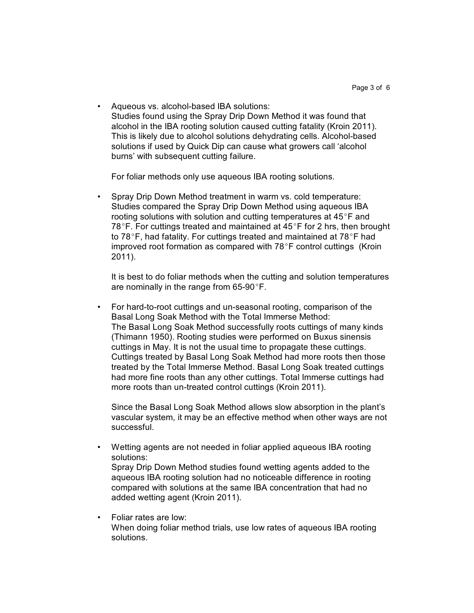• Aqueous vs. alcohol-based IBA solutions: Studies found using the Spray Drip Down Method it was found that alcohol in the IBA rooting solution caused cutting fatality (Kroin 2011). This is likely due to alcohol solutions dehydrating cells. Alcohol-based solutions if used by Quick Dip can cause what growers call 'alcohol burns' with subsequent cutting failure.

For foliar methods only use aqueous IBA rooting solutions.

• Spray Drip Down Method treatment in warm vs. cold temperature: Studies compared the Spray Drip Down Method using aqueous IBA rooting solutions with solution and cutting temperatures at  $45^{\circ}$ F and 78°F. For cuttings treated and maintained at  $45^{\circ}$ F for 2 hrs, then brought to 78 $\degree$ F, had fatality. For cuttings treated and maintained at 78 $\degree$ F had improved root formation as compared with  $78^{\circ}$ F control cuttings (Kroin 2011).

It is best to do foliar methods when the cutting and solution temperatures are nominally in the range from  $65-90^{\circ}$ F.

• For hard-to-root cuttings and un-seasonal rooting, comparison of the Basal Long Soak Method with the Total Immerse Method: The Basal Long Soak Method successfully roots cuttings of many kinds (Thimann 1950). Rooting studies were performed on Buxus sinensis cuttings in May. It is not the usual time to propagate these cuttings. Cuttings treated by Basal Long Soak Method had more roots then those treated by the Total Immerse Method. Basal Long Soak treated cuttings had more fine roots than any other cuttings. Total Immerse cuttings had more roots than un-treated control cuttings (Kroin 2011).

Since the Basal Long Soak Method allows slow absorption in the plant's vascular system, it may be an effective method when other ways are not successful.

- Wetting agents are not needed in foliar applied aqueous IBA rooting solutions: Spray Drip Down Method studies found wetting agents added to the aqueous IBA rooting solution had no noticeable difference in rooting compared with solutions at the same IBA concentration that had no added wetting agent (Kroin 2011).
- Foliar rates are low: When doing foliar method trials, use low rates of aqueous IBA rooting solutions.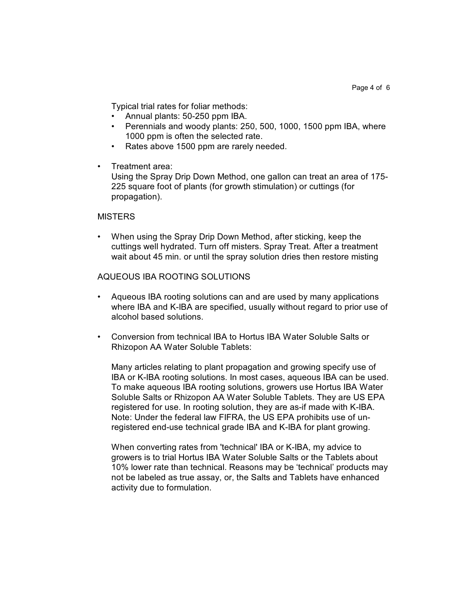Typical trial rates for foliar methods:

- Annual plants: 50-250 ppm IBA.
- Perennials and woody plants: 250, 500, 1000, 1500 ppm IBA, where 1000 ppm is often the selected rate.
- Rates above 1500 ppm are rarely needed.
- Treatment area:

Using the Spray Drip Down Method, one gallon can treat an area of 175- 225 square foot of plants (for growth stimulation) or cuttings (for propagation).

### **MISTERS**

• When using the Spray Drip Down Method, after sticking, keep the cuttings well hydrated. Turn off misters. Spray Treat. After a treatment wait about 45 min. or until the spray solution dries then restore misting

### AQUEOUS IBA ROOTING SOLUTIONS

- Aqueous IBA rooting solutions can and are used by many applications where IBA and K-IBA are specified, usually without regard to prior use of alcohol based solutions.
- Conversion from technical IBA to Hortus IBA Water Soluble Salts or Rhizopon AA Water Soluble Tablets:

Many articles relating to plant propagation and growing specify use of IBA or K-IBA rooting solutions. In most cases, aqueous IBA can be used. To make aqueous IBA rooting solutions, growers use Hortus IBA Water Soluble Salts or Rhizopon AA Water Soluble Tablets. They are US EPA registered for use. In rooting solution, they are as-if made with K-IBA. Note: Under the federal law FIFRA, the US EPA prohibits use of unregistered end-use technical grade IBA and K-IBA for plant growing.

When converting rates from 'technical' IBA or K-IBA, my advice to growers is to trial Hortus IBA Water Soluble Salts or the Tablets about 10% lower rate than technical. Reasons may be 'technical' products may not be labeled as true assay, or, the Salts and Tablets have enhanced activity due to formulation.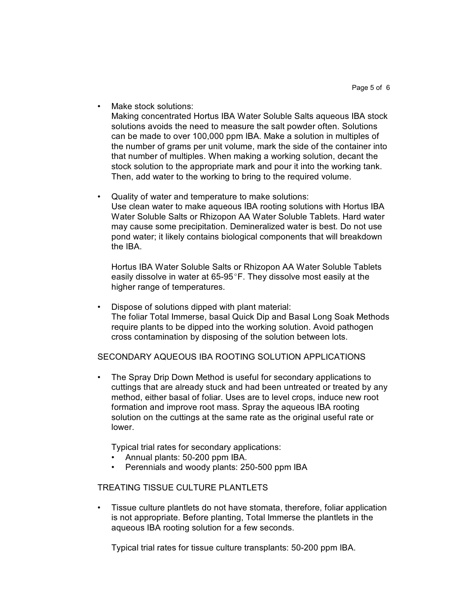Make stock solutions:

Making concentrated Hortus IBA Water Soluble Salts aqueous IBA stock solutions avoids the need to measure the salt powder often. Solutions can be made to over 100,000 ppm IBA. Make a solution in multiples of the number of grams per unit volume, mark the side of the container into that number of multiples. When making a working solution, decant the stock solution to the appropriate mark and pour it into the working tank. Then, add water to the working to bring to the required volume.

• Quality of water and temperature to make solutions: Use clean water to make aqueous IBA rooting solutions with Hortus IBA Water Soluble Salts or Rhizopon AA Water Soluble Tablets. Hard water may cause some precipitation. Demineralized water is best. Do not use pond water; it likely contains biological components that will breakdown the IBA.

Hortus IBA Water Soluble Salts or Rhizopon AA Water Soluble Tablets easily dissolve in water at 65-95 $\degree$ F. They dissolve most easily at the higher range of temperatures.

• Dispose of solutions dipped with plant material: The foliar Total Immerse, basal Quick Dip and Basal Long Soak Methods require plants to be dipped into the working solution. Avoid pathogen cross contamination by disposing of the solution between lots.

#### SECONDARY AQUEOUS IBA ROOTING SOLUTION APPLICATIONS

• The Spray Drip Down Method is useful for secondary applications to cuttings that are already stuck and had been untreated or treated by any method, either basal of foliar. Uses are to level crops, induce new root formation and improve root mass. Spray the aqueous IBA rooting solution on the cuttings at the same rate as the original useful rate or lower.

Typical trial rates for secondary applications:

- Annual plants: 50-200 ppm IBA.
- Perennials and woody plants: 250-500 ppm IBA

### TREATING TISSUE CULTURE PLANTLETS

• Tissue culture plantlets do not have stomata, therefore, foliar application is not appropriate. Before planting, Total Immerse the plantlets in the aqueous IBA rooting solution for a few seconds.

Typical trial rates for tissue culture transplants: 50-200 ppm IBA.